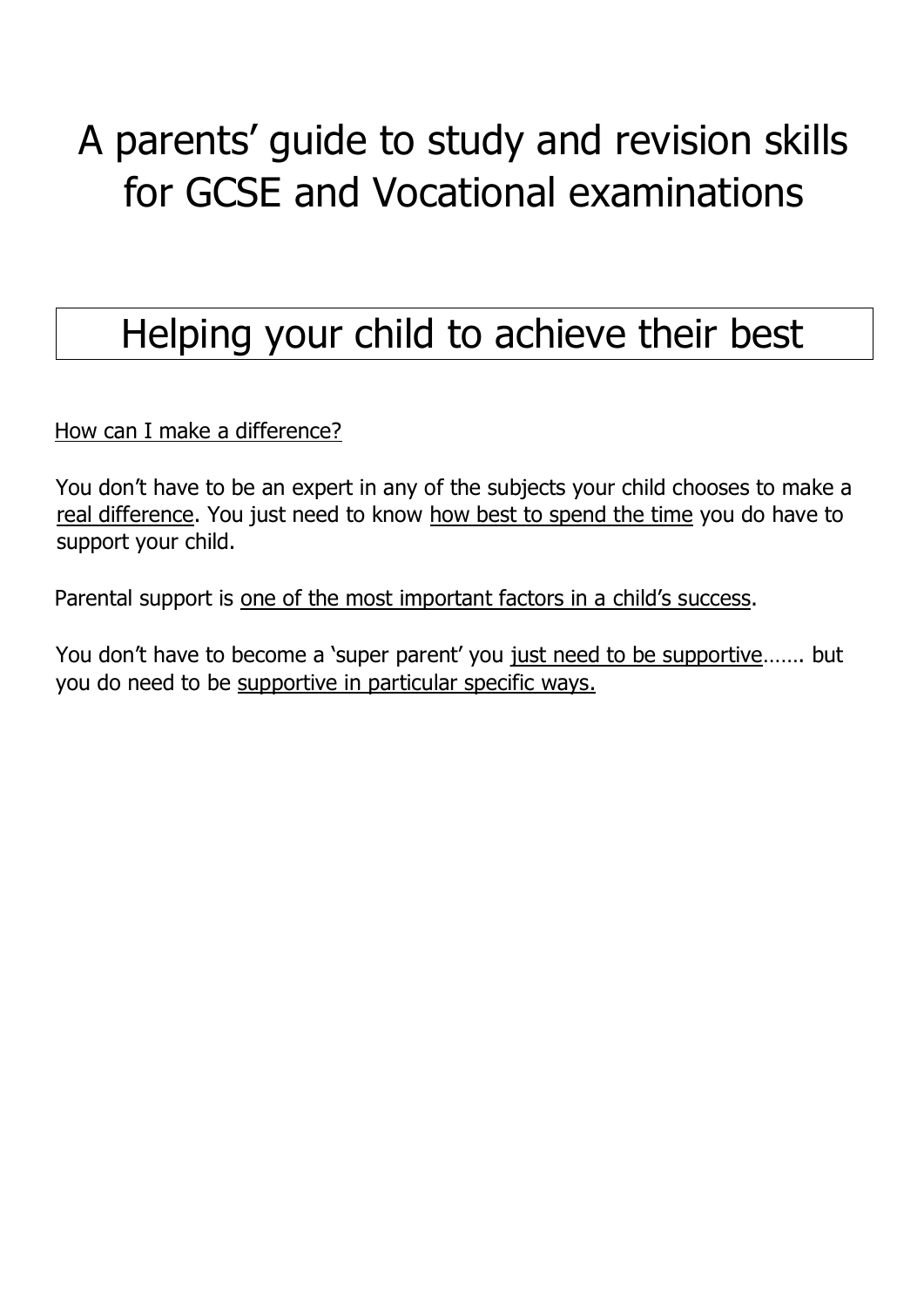# A parents' guide to study and revision skills for GCSE and Vocational examinations

# Helping your child to achieve their best

How can I make a difference?

You don't have to be an expert in any of the subjects your child chooses to make a real difference. You just need to know how best to spend the time you do have to support your child.

Parental support is one of the most important factors in a child's success.

You don't have to become a 'super parent' you just need to be supportive……. but you do need to be supportive in particular specific ways.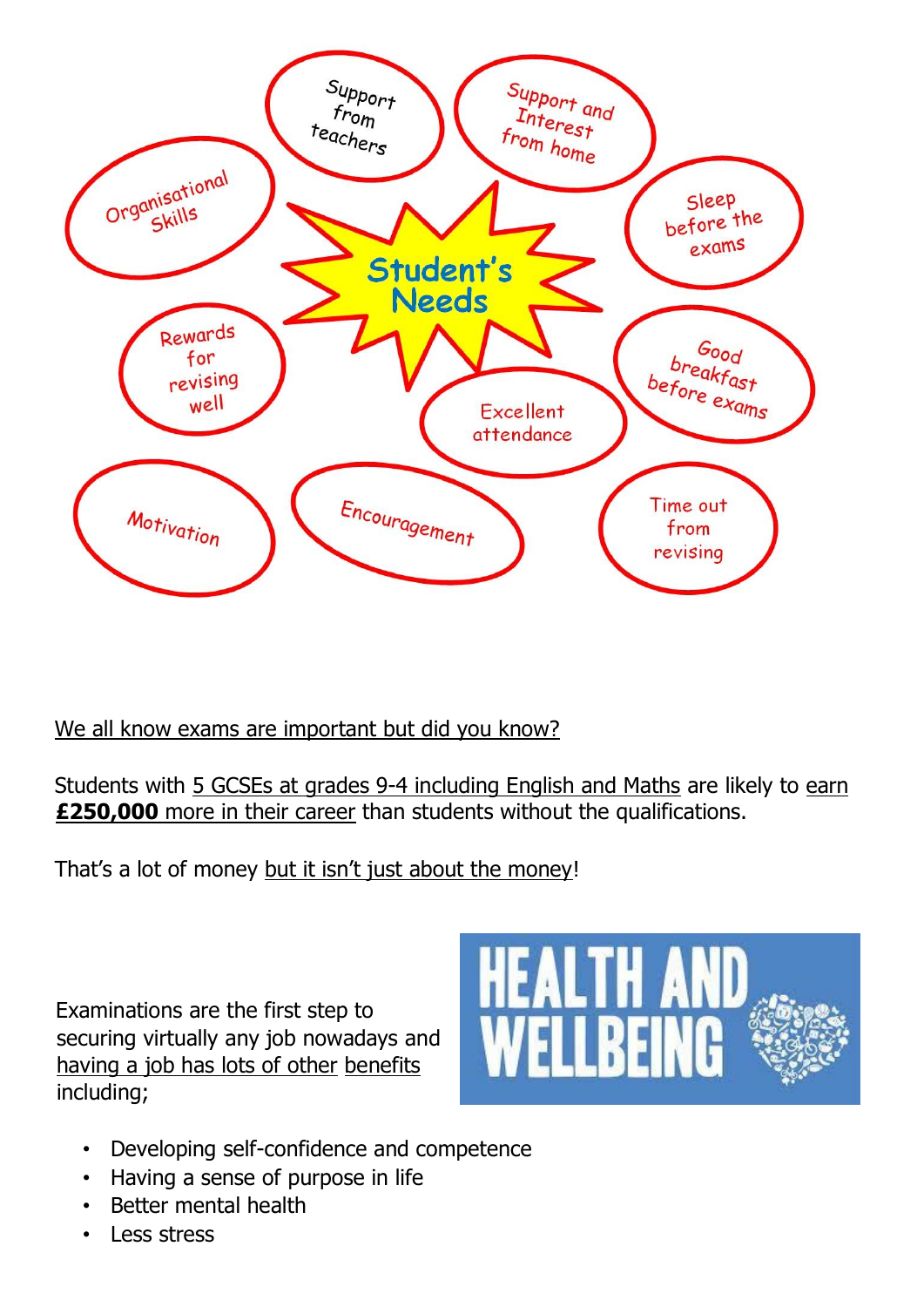

### We all know exams are important but did you know?

Students with 5 GCSEs at grades 9-4 including English and Maths are likely to earn **£250,000** more in their career than students without the qualifications.

That's a lot of money but it isn't just about the money!

Examinations are the first step to securing virtually any job nowadays and having a job has lots of other benefits including;



- Developing self-confidence and competence
- Having a sense of purpose in life
- Better mental health
- Less stress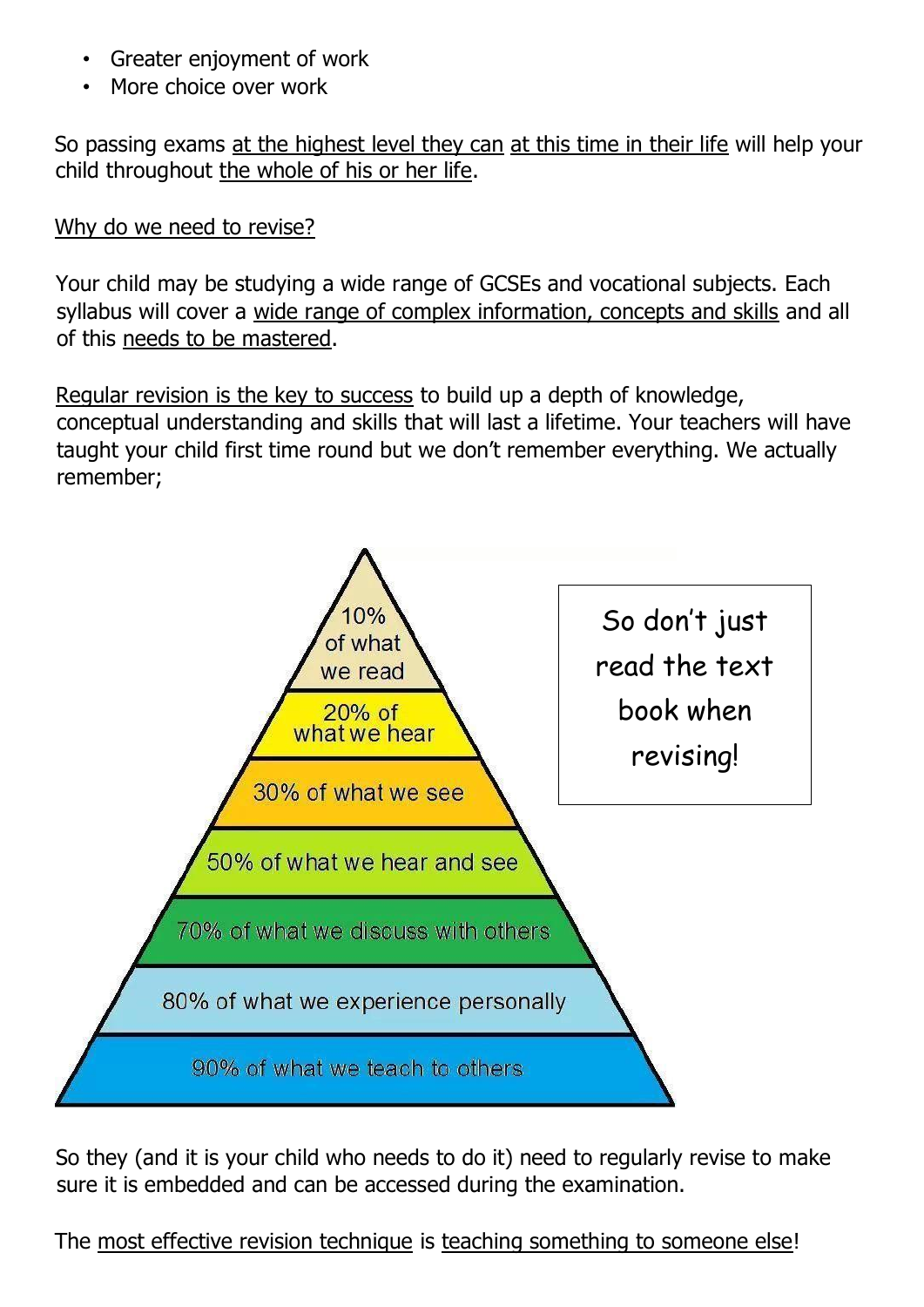- Greater enjoyment of work
- More choice over work

So passing exams at the highest level they can at this time in their life will help your child throughout the whole of his or her life.

### Why do we need to revise?

Your child may be studying a wide range of GCSEs and vocational subjects. Each syllabus will cover a wide range of complex information, concepts and skills and all of this needs to be mastered.

Regular revision is the key to success to build up a depth of knowledge, conceptual understanding and skills that will last a lifetime. Your teachers will have taught your child first time round but we don't remember everything. We actually remember;



So they (and it is your child who needs to do it) need to regularly revise to make sure it is embedded and can be accessed during the examination.

The most effective revision technique is teaching something to someone else!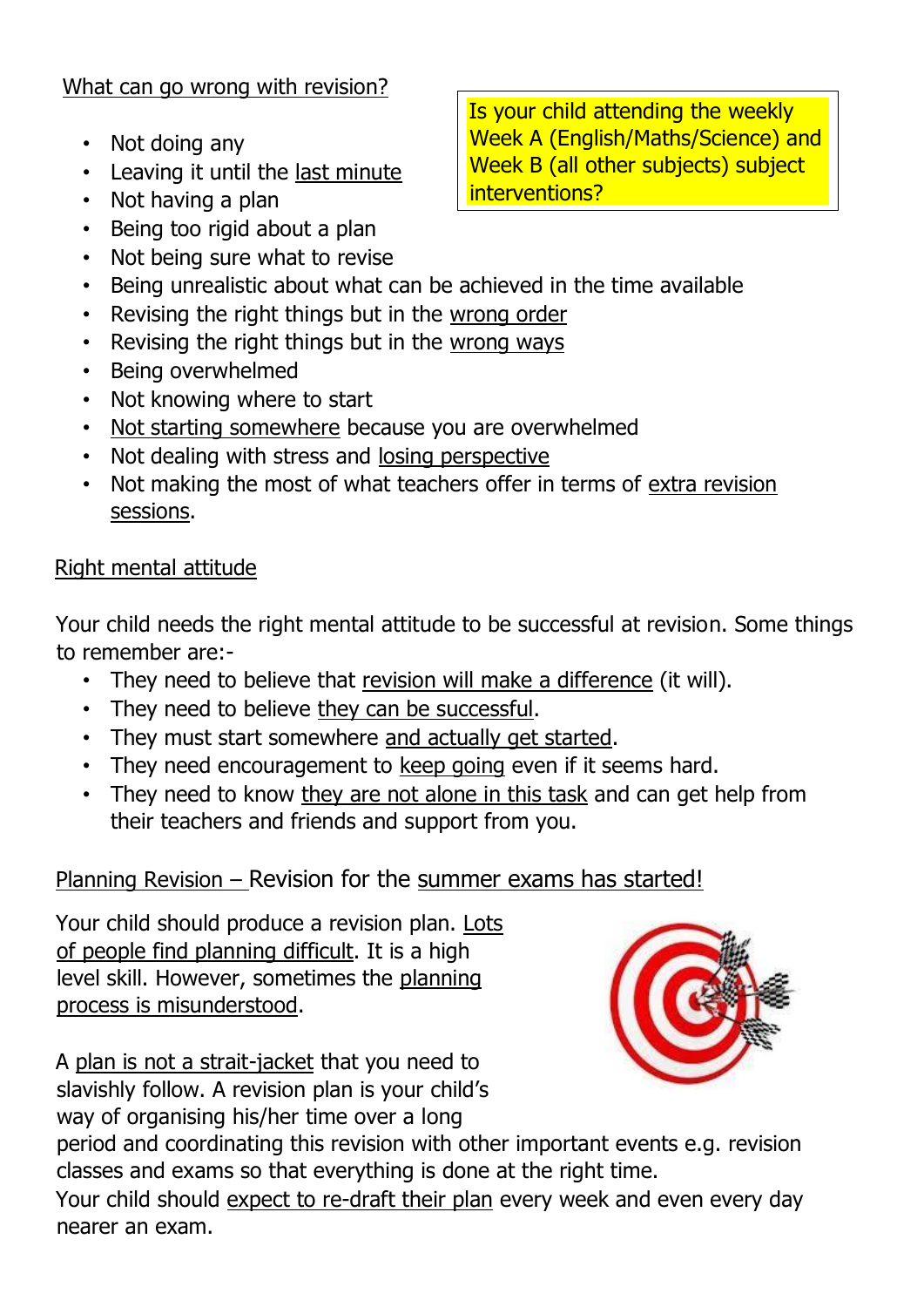### What can go wrong with revision?

- Not doing any
- Leaving it until the last minute
- Not having a plan
- Being too rigid about a plan
- Not being sure what to revise
- Being unrealistic about what can be achieved in the time available
- Revising the right things but in the wrong order
- Revising the right things but in the wrong ways
- Being overwhelmed
- Not knowing where to start
- Not starting somewhere because you are overwhelmed
- Not dealing with stress and losing perspective
- Not making the most of what teachers offer in terms of extra revision sessions.

### Right mental attitude

Your child needs the right mental attitude to be successful at revision. Some things to remember are:-

- They need to believe that revision will make a difference (it will).
- They need to believe they can be successful.
- They must start somewhere and actually get started.
- They need encouragement to keep going even if it seems hard.
- They need to know they are not alone in this task and can get help from their teachers and friends and support from you.

### Planning Revision – Revision for the summer exams has started!

Your child should produce a revision plan. Lots of people find planning difficult. It is a high level skill. However, sometimes the planning process is misunderstood.

A plan is not a strait-jacket that you need to slavishly follow. A revision plan is your child's way of organising his/her time over a long



period and coordinating this revision with other important events e.g. revision classes and exams so that everything is done at the right time.

Your child should expect to re-draft their plan every week and even every day nearer an exam.

Is your child attending the weekly Week A (English/Maths/Science) and Week B (all other subjects) subject interventions?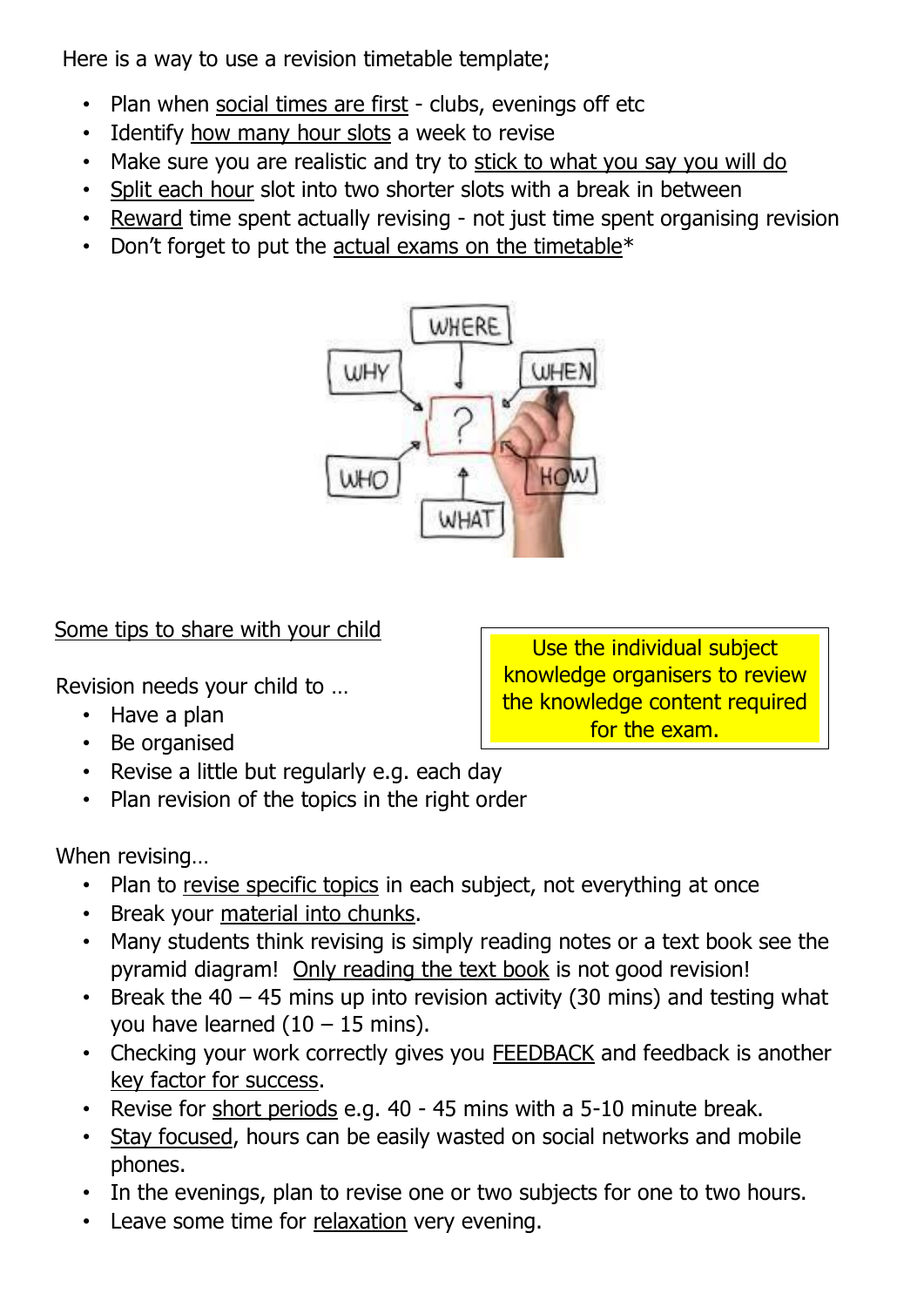Here is a way to use a revision timetable template;

- Plan when social times are first clubs, evenings off etc
- Identify how many hour slots a week to revise
- Make sure you are realistic and try to stick to what you say you will do
- Split each hour slot into two shorter slots with a break in between
- Reward time spent actually revising not just time spent organising revision
- Don't forget to put the actual exams on the timetable $*$



### Some tips to share with your child

Revision needs your child to …

- Have a plan
- Be organised
- Revise a little but regularly e.g. each day
- Plan revision of the topics in the right order

When revising…

- Plan to revise specific topics in each subject, not everything at once
- Break your material into chunks.
- Many students think revising is simply reading notes or a text book see the pyramid diagram! Only reading the text book is not good revision!
- Break the  $40 45$  mins up into revision activity (30 mins) and testing what you have learned  $(10 - 15$  mins).
- Checking your work correctly gives you FEEDBACK and feedback is another key factor for success.
- Revise for short periods e.g. 40 45 mins with a 5-10 minute break.
- Stay focused, hours can be easily wasted on social networks and mobile phones.
- In the evenings, plan to revise one or two subjects for one to two hours.
- Leave some time for relaxation very evening.

Use the individual subject knowledge organisers to review the knowledge content required for the exam.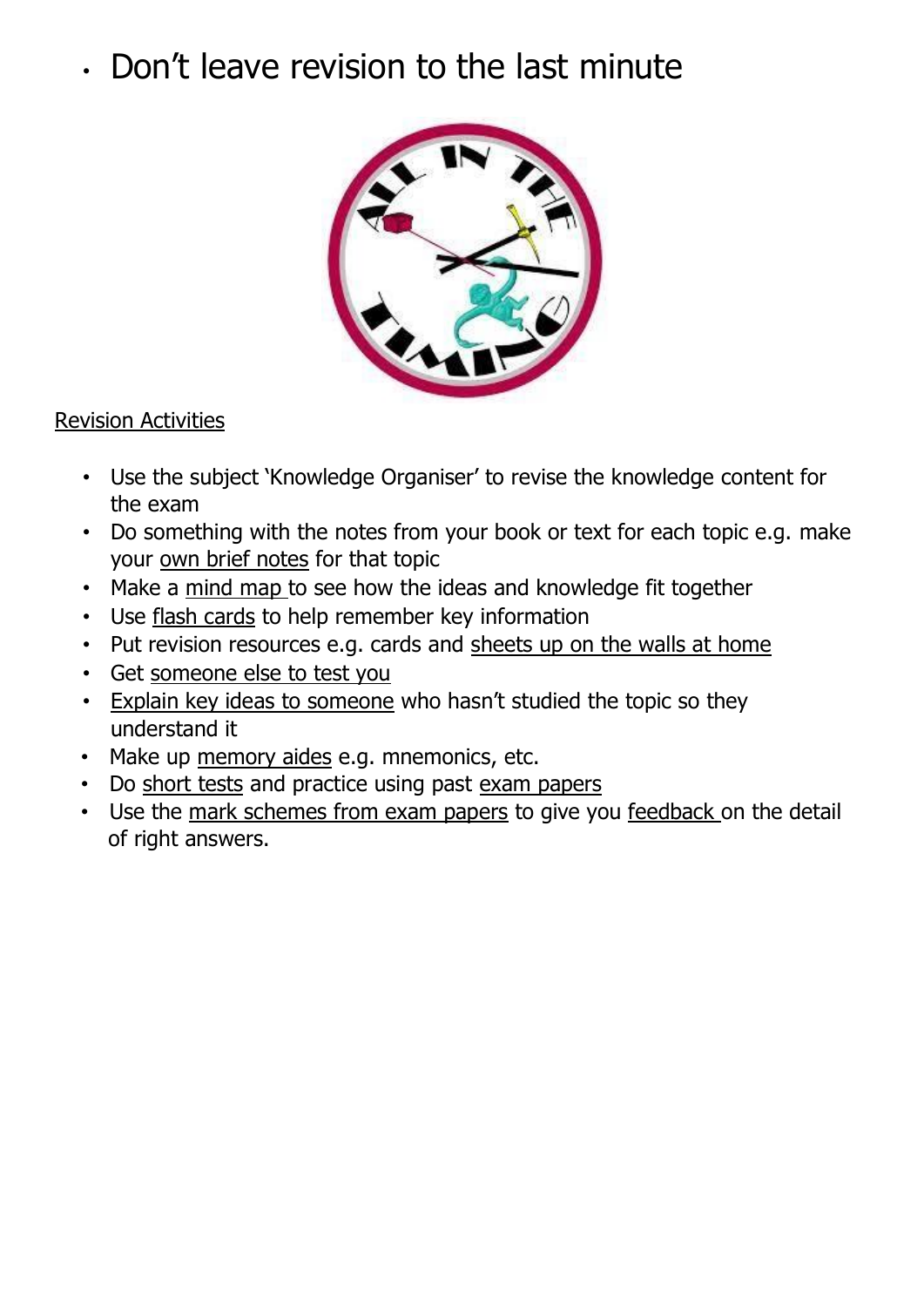## • Don't leave revision to the last minute



### Revision Activities

- Use the subject 'Knowledge Organiser' to revise the knowledge content for the exam
- Do something with the notes from your book or text for each topic e.g. make your own brief notes for that topic
- Make a mind map to see how the ideas and knowledge fit together
- Use flash cards to help remember key information
- Put revision resources e.g. cards and sheets up on the walls at home
- Get someone else to test you
- Explain key ideas to someone who hasn't studied the topic so they understand it
- Make up memory aides e.g. mnemonics, etc.
- Do short tests and practice using past exam papers
- Use the mark schemes from exam papers to give you feedback on the detail of right answers.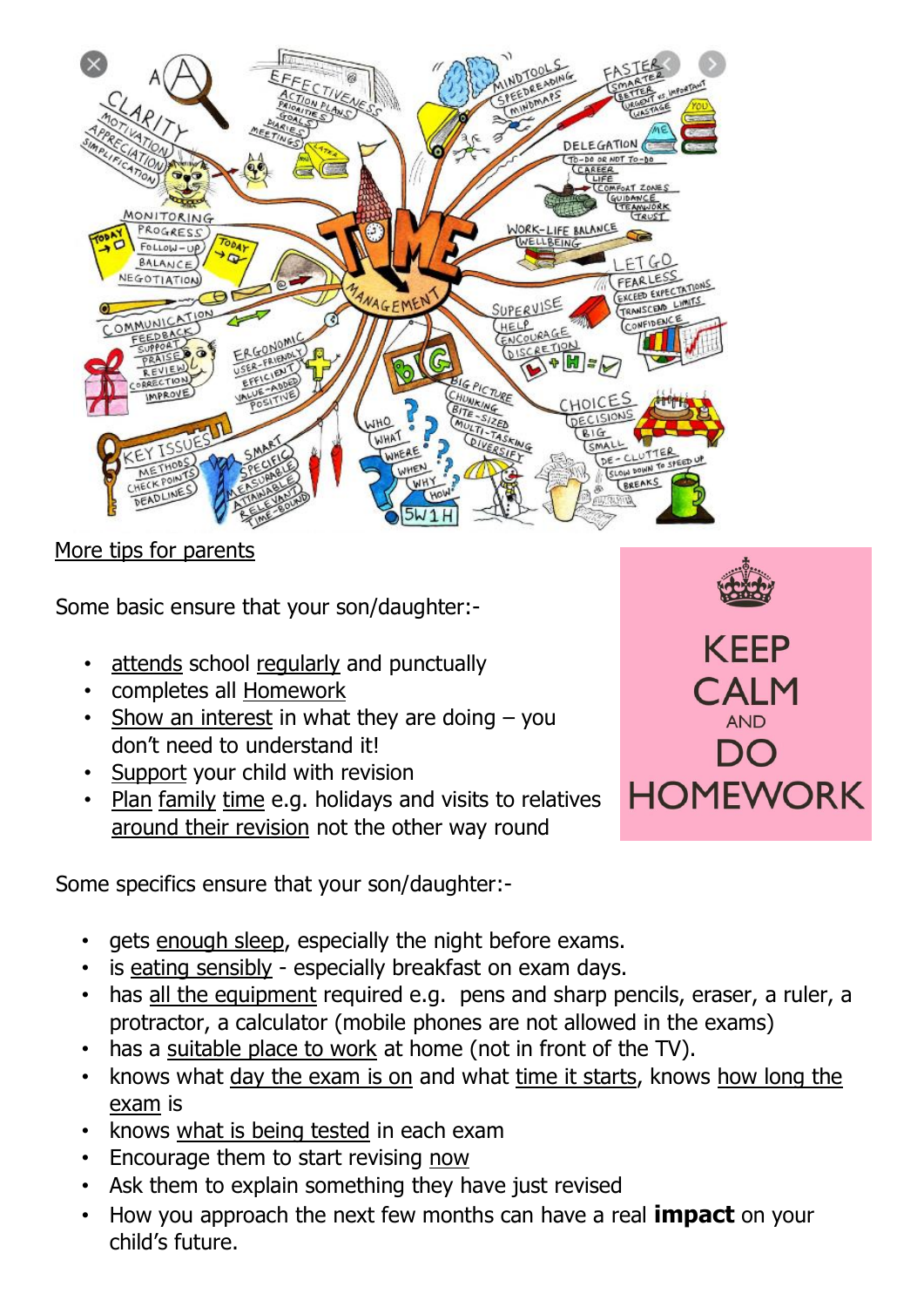

More tips for parents

Some basic ensure that your son/daughter:-

- attends school regularly and punctually
- completes all Homework
- Show an interest in what they are doing you don't need to understand it!
- Support your child with revision
- Plan family time e.g. holidays and visits to relatives around their revision not the other way round

Some specifics ensure that your son/daughter:-



- gets enough sleep, especially the night before exams.
- is eating sensibly especially breakfast on exam days.
- has all the equipment required e.g. pens and sharp pencils, eraser, a ruler, a protractor, a calculator (mobile phones are not allowed in the exams)
- has a suitable place to work at home (not in front of the TV).
- knows what day the exam is on and what time it starts, knows how long the exam is
- knows what is being tested in each exam
- Encourage them to start revising now
- Ask them to explain something they have just revised
- How you approach the next few months can have a real **impact** on your child's future.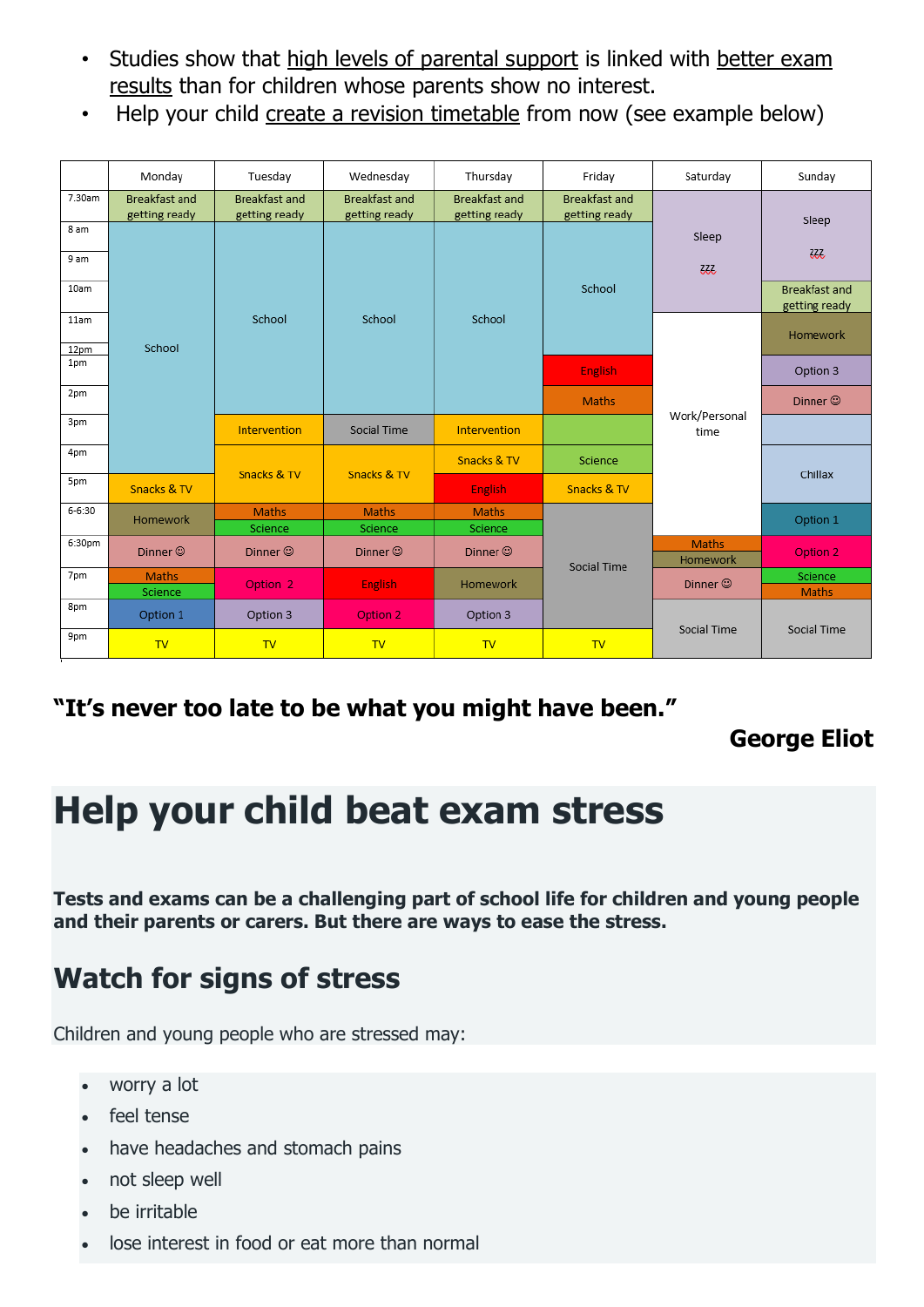- Studies show that high levels of parental support is linked with better exam results than for children whose parents show no interest.
- Help your child create a revision timetable from now (see example below)

|              | Monday                                | Tuesday                               | Wednesday                             | Thursday                              | Friday                                | Saturday                 | Sunday                                |
|--------------|---------------------------------------|---------------------------------------|---------------------------------------|---------------------------------------|---------------------------------------|--------------------------|---------------------------------------|
| 7.30am       | <b>Breakfast and</b><br>getting ready | <b>Breakfast and</b><br>getting ready | <b>Breakfast and</b><br>getting ready | <b>Breakfast and</b><br>getting ready | <b>Breakfast and</b><br>getting ready |                          | Sleep                                 |
| 8 am<br>9 am |                                       |                                       |                                       |                                       |                                       | Sleep<br>333             | ZZZ,                                  |
| 10am         | School<br>Snacks & TV                 | School                                | School                                | School                                | School                                |                          | <b>Breakfast and</b><br>getting ready |
| 11am<br>12pm |                                       |                                       |                                       |                                       |                                       | Work/Personal<br>time    | Homework                              |
| 1pm          |                                       |                                       |                                       |                                       | <b>English</b>                        |                          | Option 3                              |
| 2pm          |                                       |                                       |                                       |                                       | <b>Maths</b>                          |                          | Dinner ©                              |
| 3pm          |                                       | Intervention                          | Social Time                           | Intervention                          |                                       |                          |                                       |
| 4pm          |                                       | Snacks & TV                           | Snacks & TV                           | Snacks & TV                           | Science                               |                          | Chillax                               |
| 5pm          |                                       |                                       |                                       | <b>English</b>                        | Snacks & TV                           |                          |                                       |
| $6 - 6:30$   | Homework                              | Maths<br>Science                      | Maths<br>Science                      | Maths<br>Science                      | Social Time                           |                          | Option 1                              |
| 6:30pm       | Dinner <sup>®</sup>                   | Dinner <sup>®</sup>                   | Dinner ©                              | Dinner <sup>®</sup>                   |                                       | <b>Maths</b><br>Homework | Option 2                              |
| 7pm          | <b>Maths</b><br>Science               | Option 2                              | <b>English</b>                        | Homework                              |                                       | Dinner $\odot$           | Science<br><b>Maths</b>               |
| 8pm          | Option 1                              | Option 3                              | Option 2                              | Option 3                              |                                       | Social Time              |                                       |
| 9pm          | <b>TV</b>                             | TV                                    | <b>TV</b>                             | TV                                    | TV                                    |                          | Social Time                           |

### **"It's never too late to be what you might have been."**

### **George Eliot**

## **Help your child beat exam stress**

**Tests and exams can be a challenging part of school life for children and young people and their parents or carers. But there are ways to ease the stress.**

## **Watch for signs of stress**

Children and young people who are stressed may:

- worry a lot
- feel tense
- have headaches and stomach pains
- not sleep well
- be irritable
- lose interest in food or eat more than normal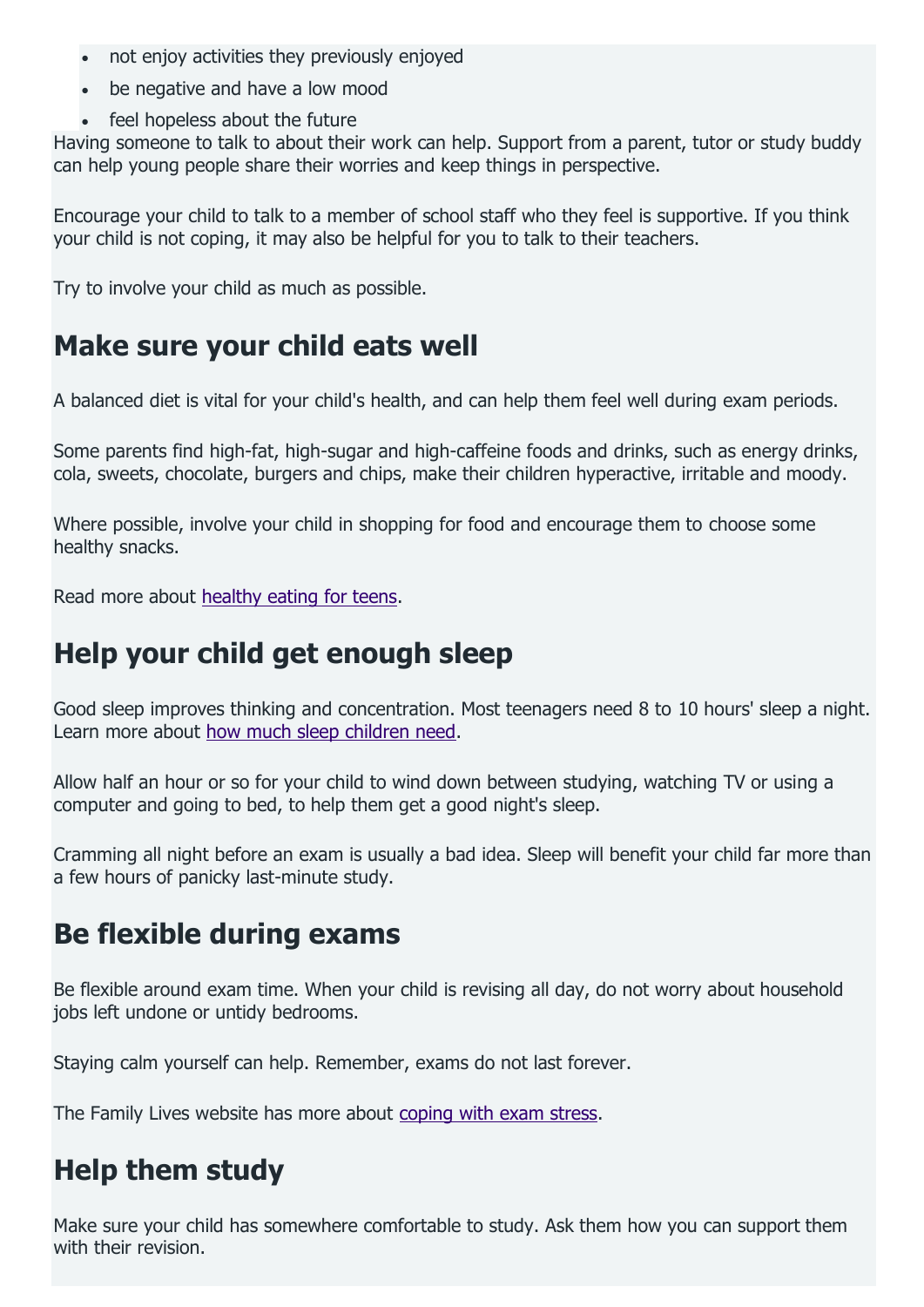- not enjoy activities they previously enjoyed
- be negative and have a low mood
- feel hopeless about the future

Having someone to talk to about their work can help. Support from a parent, tutor or study buddy can help young people share their worries and keep things in perspective.

Encourage your child to talk to a member of school staff who they feel is supportive. If you think your child is not coping, it may also be helpful for you to talk to their teachers.

Try to involve your child as much as possible.

## **Make sure your child eats well**

A balanced diet is vital for your child's health, and can help them feel well during exam periods.

Some parents find high-fat, high-sugar and high-caffeine foods and drinks, such as energy drinks, cola, sweets, chocolate, burgers and chips, make their children hyperactive, irritable and moody.

Where possible, involve your child in shopping for food and encourage them to choose some healthy snacks.

Read more about [healthy eating for teens.](https://www.nhs.uk/live-well/eat-well/healthy-eating-for-teens/)

## **Help your child get enough sleep**

Good sleep improves thinking and concentration. Most teenagers need 8 to 10 hours' sleep a night. Learn more about [how much sleep children need.](https://www.nhs.uk/live-well/sleep-and-tiredness/how-much-sleep-do-kids-need/)

Allow half an hour or so for your child to wind down between studying, watching TV or using a computer and going to bed, to help them get a good night's sleep.

Cramming all night before an exam is usually a bad idea. Sleep will benefit your child far more than a few hours of panicky last-minute study.

## **Be flexible during exams**

Be flexible around exam time. When your child is revising all day, do not worry about household jobs left undone or untidy bedrooms.

Staying calm yourself can help. Remember, exams do not last forever.

The Family Lives website has more about [coping with exam stress.](http://www.familylives.org.uk/advice/teenagers/school-learning/exam-stress/)

## **Help them study**

Make sure your child has somewhere comfortable to study. Ask them how you can support them with their revision.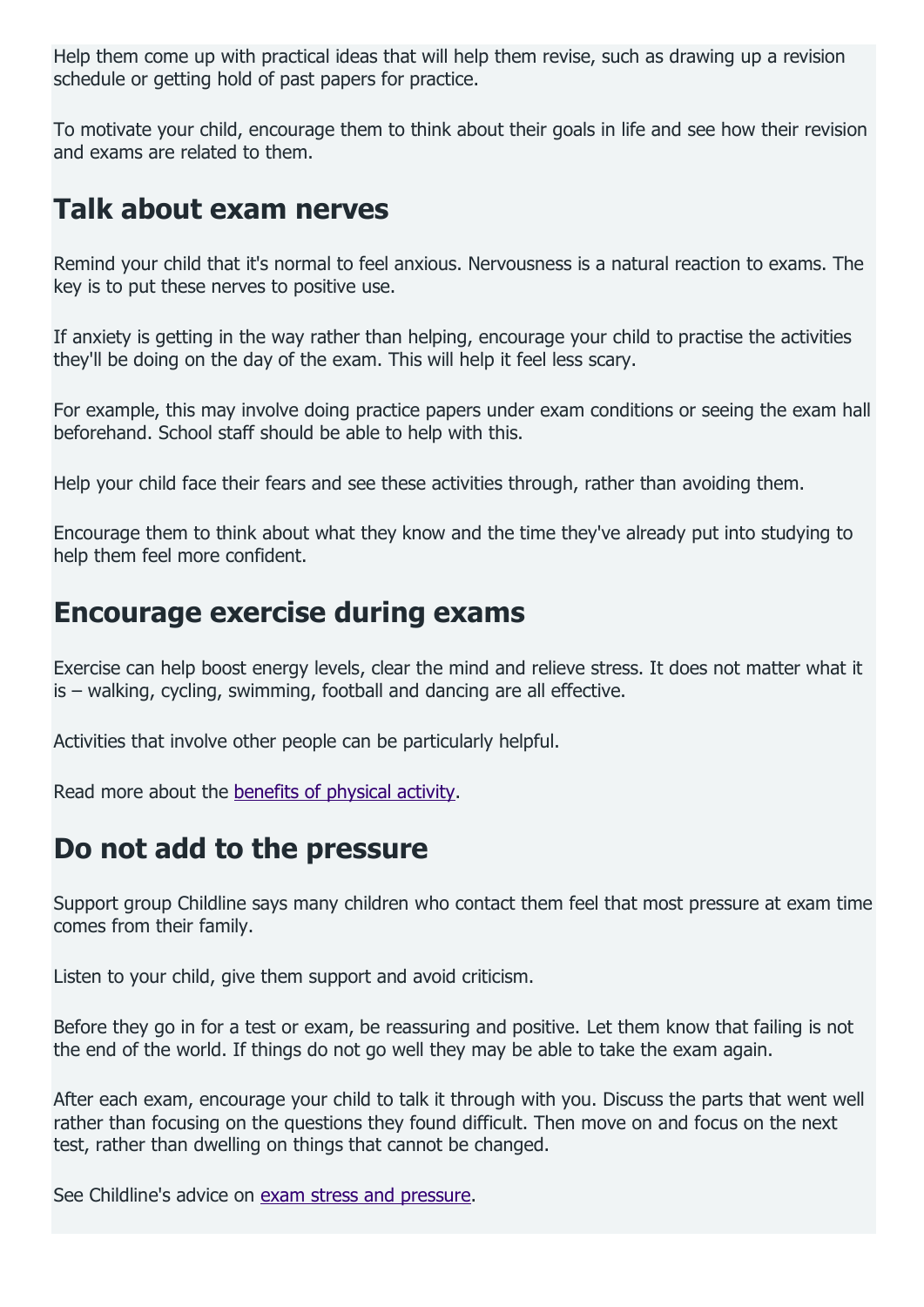Help them come up with practical ideas that will help them revise, such as drawing up a revision schedule or getting hold of past papers for practice.

To motivate your child, encourage them to think about their goals in life and see how their revision and exams are related to them.

## **Talk about exam nerves**

Remind your child that it's normal to feel anxious. Nervousness is a natural reaction to exams. The key is to put these nerves to positive use.

If anxiety is getting in the way rather than helping, encourage your child to practise the activities they'll be doing on the day of the exam. This will help it feel less scary.

For example, this may involve doing practice papers under exam conditions or seeing the exam hall beforehand. School staff should be able to help with this.

Help your child face their fears and see these activities through, rather than avoiding them.

Encourage them to think about what they know and the time they've already put into studying to help them feel more confident.

## **Encourage exercise during exams**

Exercise can help boost energy levels, clear the mind and relieve stress. It does not matter what it is – walking, cycling, swimming, football and dancing are all effective.

Activities that involve other people can be particularly helpful.

Read more about the [benefits of physical activity.](https://www.nhs.uk/live-well/exercise/exercise-health-benefits/)

## **Do not add to the pressure**

Support group Childline says many children who contact them feel that most pressure at exam time comes from their family.

Listen to your child, give them support and avoid criticism.

Before they go in for a test or exam, be reassuring and positive. Let them know that failing is not the end of the world. If things do not go well they may be able to take the exam again.

After each exam, encourage your child to talk it through with you. Discuss the parts that went well rather than focusing on the questions they found difficult. Then move on and focus on the next test, rather than dwelling on things that cannot be changed.

See Childline's advice on [exam stress and pressure.](https://www.childline.org.uk/info-advice/school-college-and-work/school-college/exam-stress/)